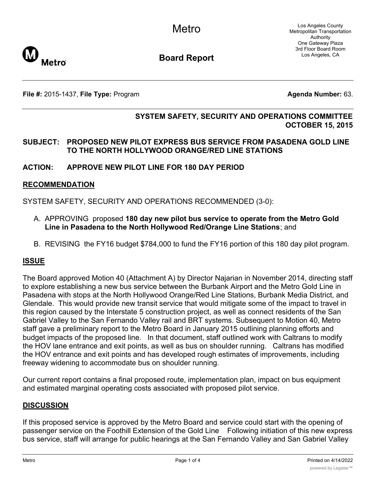Los Angeles County Metropolitan Transportation Authority One Gateway Plaza 3rd Floor Board Room Los Angeles, CA



**Board Report**

**File #:** 2015-1437, File Type: Program **Agents Agenda Number:** 63.

## **SYSTEM SAFETY, SECURITY AND OPERATIONS COMMITTEE OCTOBER 15, 2015**

#### **SUBJECT: PROPOSED NEW PILOT EXPRESS BUS SERVICE FROM PASADENA GOLD LINE TO THE NORTH HOLLYWOOD ORANGE/RED LINE STATIONS**

## **ACTION: APPROVE NEW PILOT LINE FOR 180 DAY PERIOD**

#### **RECOMMENDATION**

SYSTEM SAFETY, SECURITY AND OPERATIONS RECOMMENDED (3-0):

- A. APPROVING proposed **180 day new pilot bus service to operate from the Metro Gold Line in Pasadena to the North Hollywood Red/Orange Line Stations**; and
- B. REVISING the FY16 budget \$784,000 to fund the FY16 portion of this 180 day pilot program.

#### **ISSUE**

The Board approved Motion 40 (Attachment A) by Director Najarian in November 2014, directing staff to explore establishing a new bus service between the Burbank Airport and the Metro Gold Line in Pasadena with stops at the North Hollywood Orange/Red Line Stations, Burbank Media District, and Glendale. This would provide new transit service that would mitigate some of the impact to travel in this region caused by the Interstate 5 construction project, as well as connect residents of the San Gabriel Valley to the San Fernando Valley rail and BRT systems. Subsequent to Motion 40, Metro staff gave a preliminary report to the Metro Board in January 2015 outlining planning efforts and budget impacts of the proposed line. In that document, staff outlined work with Caltrans to modify the HOV lane entrance and exit points, as well as bus on shoulder running. Caltrans has modified the HOV entrance and exit points and has developed rough estimates of improvements, including freeway widening to accommodate bus on shoulder running.

Our current report contains a final proposed route, implementation plan, impact on bus equipment and estimated marginal operating costs associated with proposed pilot service.

#### **DISCUSSION**

If this proposed service is approved by the Metro Board and service could start with the opening of passenger service on the Foothill Extension of the Gold Line Following initiation of this new express bus service, staff will arrange for public hearings at the San Fernando Valley and San Gabriel Valley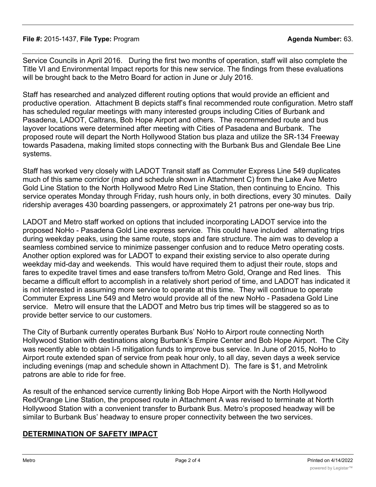Service Councils in April 2016. During the first two months of operation, staff will also complete the Title VI and Environmental Impact reports for this new service. The findings from these evaluations will be brought back to the Metro Board for action in June or July 2016.

Staff has researched and analyzed different routing options that would provide an efficient and productive operation. Attachment B depicts staff's final recommended route configuration. Metro staff has scheduled regular meetings with many interested groups including Cities of Burbank and Pasadena, LADOT, Caltrans, Bob Hope Airport and others. The recommended route and bus layover locations were determined after meeting with Cities of Pasadena and Burbank. The proposed route will depart the North Hollywood Station bus plaza and utilize the SR-134 Freeway towards Pasadena, making limited stops connecting with the Burbank Bus and Glendale Bee Line systems.

Staff has worked very closely with LADOT Transit staff as Commuter Express Line 549 duplicates much of this same corridor (map and schedule shown in Attachment C) from the Lake Ave Metro Gold Line Station to the North Hollywood Metro Red Line Station, then continuing to Encino. This service operates Monday through Friday, rush hours only, in both directions, every 30 minutes. Daily ridership averages 430 boarding passengers, or approximately 21 patrons per one-way bus trip.

LADOT and Metro staff worked on options that included incorporating LADOT service into the proposed NoHo - Pasadena Gold Line express service. This could have included alternating trips during weekday peaks, using the same route, stops and fare structure. The aim was to develop a seamless combined service to minimize passenger confusion and to reduce Metro operating costs. Another option explored was for LADOT to expand their existing service to also operate during weekday mid-day and weekends. This would have required them to adjust their route, stops and fares to expedite travel times and ease transfers to/from Metro Gold, Orange and Red lines. This became a difficult effort to accomplish in a relatively short period of time, and LADOT has indicated it is not interested in assuming more service to operate at this time. They will continue to operate Commuter Express Line 549 and Metro would provide all of the new NoHo - Pasadena Gold Line service. Metro will ensure that the LADOT and Metro bus trip times will be staggered so as to provide better service to our customers.

The City of Burbank currently operates Burbank Bus' NoHo to Airport route connecting North Hollywood Station with destinations along Burbank's Empire Center and Bob Hope Airport. The City was recently able to obtain I-5 mitigation funds to improve bus service. In June of 2015, NoHo to Airport route extended span of service from peak hour only, to all day, seven days a week service including evenings (map and schedule shown in Attachment D). The fare is \$1, and Metrolink patrons are able to ride for free.

As result of the enhanced service currently linking Bob Hope Airport with the North Hollywood Red/Orange Line Station, the proposed route in Attachment A was revised to terminate at North Hollywood Station with a convenient transfer to Burbank Bus. Metro's proposed headway will be similar to Burbank Bus' headway to ensure proper connectivity between the two services.

## **DETERMINATION OF SAFETY IMPACT**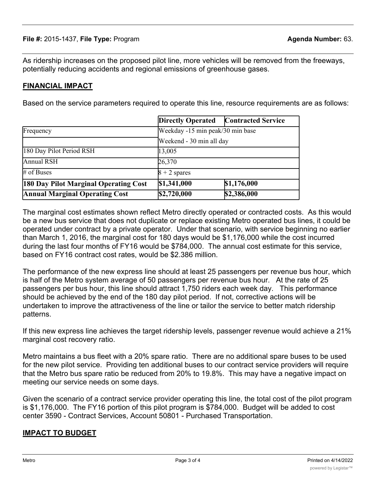As ridership increases on the proposed pilot line, more vehicles will be removed from the freeways, potentially reducing accidents and regional emissions of greenhouse gases.

# **FINANCIAL IMPACT**

Based on the service parameters required to operate this line, resource requirements are as follows:

|                                       | <b>Directly Operated</b>                                     | <b>Contracted Service</b> |
|---------------------------------------|--------------------------------------------------------------|---------------------------|
| Frequency                             | Weekday -15 min peak/30 min base<br>Weekend - 30 min all day |                           |
|                                       |                                                              |                           |
| 180 Day Pilot Period RSH              | 13,005                                                       |                           |
| <b>Annual RSH</b>                     | 26,370                                                       |                           |
| # of Buses                            | $8 + 2$ spares                                               |                           |
| 180 Day Pilot Marginal Operating Cost | \$1,341,000                                                  | \$1,176,000               |
| <b>Annual Marginal Operating Cost</b> | \$2,720,000                                                  | \$2,386,000               |

The marginal cost estimates shown reflect Metro directly operated or contracted costs. As this would be a new bus service that does not duplicate or replace existing Metro operated bus lines, it could be operated under contract by a private operator. Under that scenario, with service beginning no earlier than March 1, 2016, the marginal cost for 180 days would be \$1,176,000 while the cost incurred during the last four months of FY16 would be \$784,000. The annual cost estimate for this service, based on FY16 contract cost rates, would be \$2.386 million.

The performance of the new express line should at least 25 passengers per revenue bus hour, which is half of the Metro system average of 50 passengers per revenue bus hour. At the rate of 25 passengers per bus hour, this line should attract 1,750 riders each week day. This performance should be achieved by the end of the 180 day pilot period. If not, corrective actions will be undertaken to improve the attractiveness of the line or tailor the service to better match ridership patterns.

If this new express line achieves the target ridership levels, passenger revenue would achieve a 21% marginal cost recovery ratio.

Metro maintains a bus fleet with a 20% spare ratio. There are no additional spare buses to be used for the new pilot service. Providing ten additional buses to our contract service providers will require that the Metro bus spare ratio be reduced from 20% to 19.8%. This may have a negative impact on meeting our service needs on some days.

Given the scenario of a contract service provider operating this line, the total cost of the pilot program is \$1,176,000. The FY16 portion of this pilot program is \$784,000. Budget will be added to cost center 3590 - Contract Services, Account 50801 - Purchased Transportation.

## **IMPACT TO BUDGET**